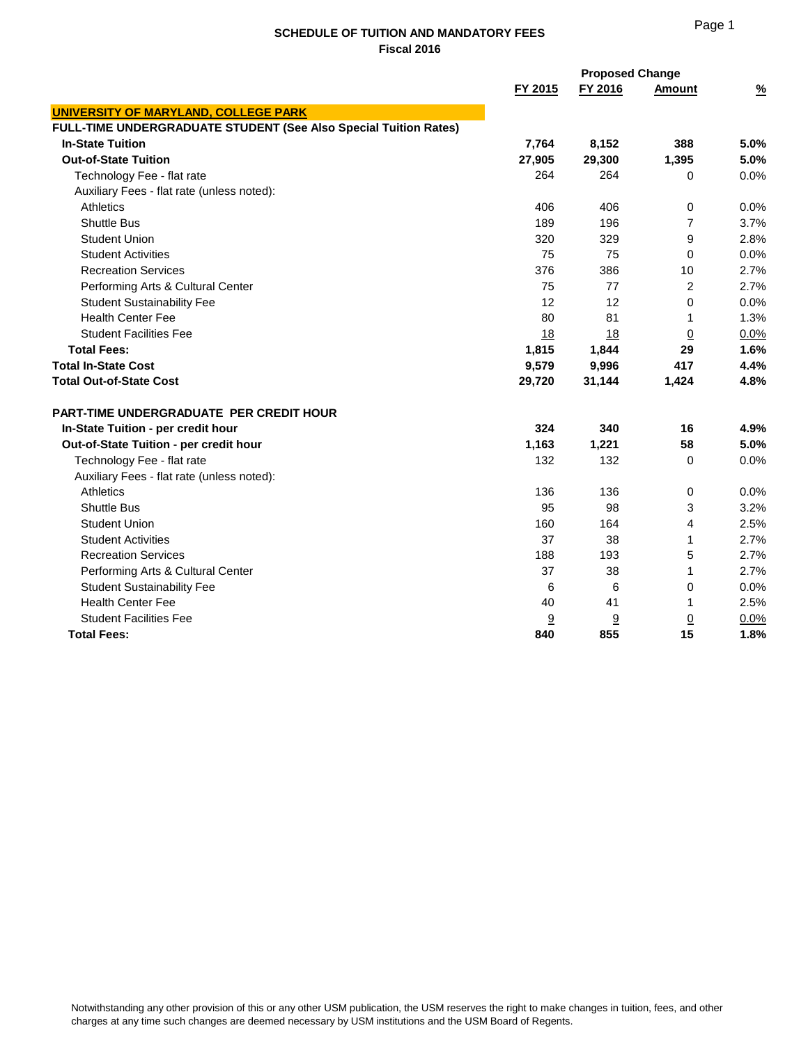|                                                                  | <b>Proposed Change</b> |         |                |               |
|------------------------------------------------------------------|------------------------|---------|----------------|---------------|
|                                                                  | FY 2015                | FY 2016 | <b>Amount</b>  | $\frac{9}{6}$ |
| <b>UNIVERSITY OF MARYLAND, COLLEGE PARK</b>                      |                        |         |                |               |
| FULL-TIME UNDERGRADUATE STUDENT (See Also Special Tuition Rates) |                        |         |                |               |
| <b>In-State Tuition</b>                                          | 7,764                  | 8,152   | 388            | 5.0%          |
| <b>Out-of-State Tuition</b>                                      | 27,905                 | 29,300  | 1,395          | 5.0%          |
| Technology Fee - flat rate                                       | 264                    | 264     | $\mathbf 0$    | 0.0%          |
| Auxiliary Fees - flat rate (unless noted):                       |                        |         |                |               |
| <b>Athletics</b>                                                 | 406                    | 406     | 0              | 0.0%          |
| <b>Shuttle Bus</b>                                               | 189                    | 196     | $\overline{7}$ | 3.7%          |
| <b>Student Union</b>                                             | 320                    | 329     | 9              | 2.8%          |
| <b>Student Activities</b>                                        | 75                     | 75      | $\mathbf 0$    | 0.0%          |
| <b>Recreation Services</b>                                       | 376                    | 386     | 10             | 2.7%          |
| Performing Arts & Cultural Center                                | 75                     | 77      | $\overline{c}$ | 2.7%          |
| <b>Student Sustainability Fee</b>                                | 12                     | 12      | $\mathbf 0$    | 0.0%          |
| <b>Health Center Fee</b>                                         | 80                     | 81      | 1              | 1.3%          |
| <b>Student Facilities Fee</b>                                    | 18                     | 18      | <u>0</u>       | 0.0%          |
| <b>Total Fees:</b>                                               | 1,815                  | 1,844   | 29             | 1.6%          |
| <b>Total In-State Cost</b>                                       | 9,579                  | 9,996   | 417            | 4.4%          |
| <b>Total Out-of-State Cost</b>                                   | 29,720                 | 31,144  | 1,424          | 4.8%          |
| <b>PART-TIME UNDERGRADUATE PER CREDIT HOUR</b>                   |                        |         |                |               |
| In-State Tuition - per credit hour                               | 324                    | 340     | 16             | 4.9%          |
| Out-of-State Tuition - per credit hour                           | 1,163                  | 1,221   | 58             | 5.0%          |
| Technology Fee - flat rate                                       | 132                    | 132     | $\mathbf 0$    | 0.0%          |
| Auxiliary Fees - flat rate (unless noted):                       |                        |         |                |               |
| Athletics                                                        | 136                    | 136     | 0              | 0.0%          |
| <b>Shuttle Bus</b>                                               | 95                     | 98      | 3              | 3.2%          |
| <b>Student Union</b>                                             | 160                    | 164     | 4              | 2.5%          |
| <b>Student Activities</b>                                        | 37                     | 38      | 1              | 2.7%          |
| <b>Recreation Services</b>                                       | 188                    | 193     | 5              | 2.7%          |
| Performing Arts & Cultural Center                                | 37                     | 38      | 1              | 2.7%          |
| <b>Student Sustainability Fee</b>                                | 6                      | 6       | 0              | 0.0%          |
| <b>Health Center Fee</b>                                         | 40                     | 41      | 1              | 2.5%          |
| <b>Student Facilities Fee</b>                                    | 9                      | 9       | $\overline{0}$ | 0.0%          |
| <b>Total Fees:</b>                                               | 840                    | 855     | 15             | 1.8%          |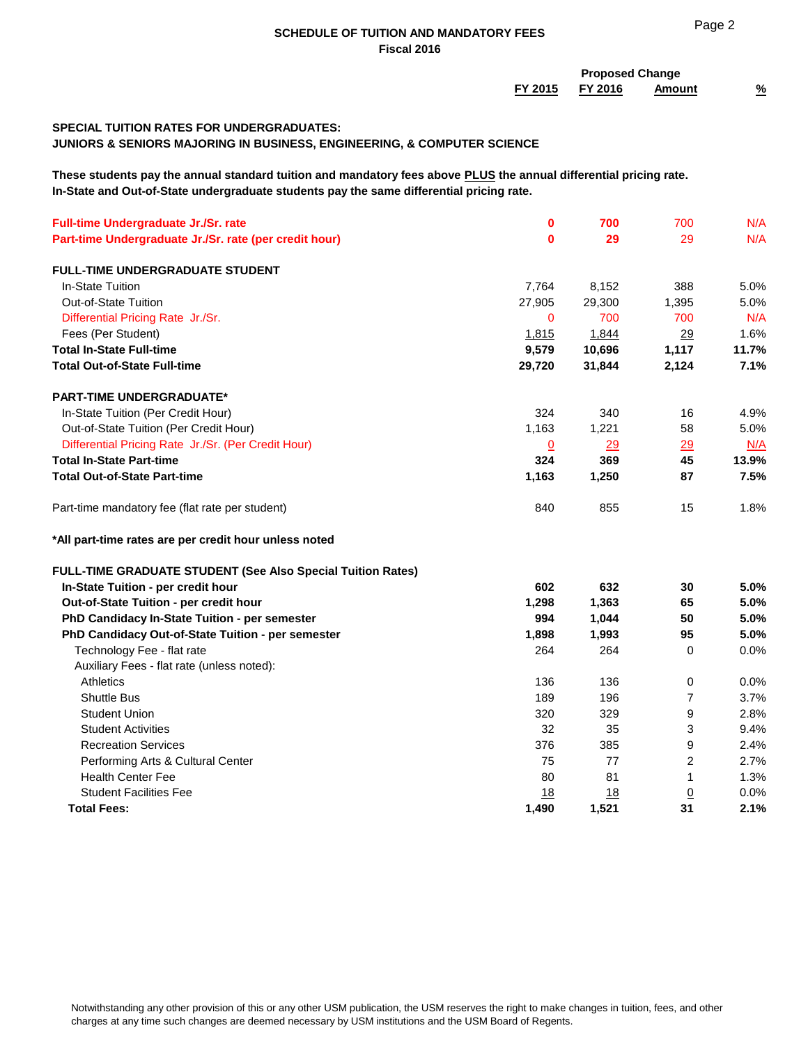|                                                                                                                                                                                                                |                    | <b>Proposed Change</b> |                       |               |  |
|----------------------------------------------------------------------------------------------------------------------------------------------------------------------------------------------------------------|--------------------|------------------------|-----------------------|---------------|--|
|                                                                                                                                                                                                                | FY 2015            | FY 2016                | <b>Amount</b>         | $\frac{9}{6}$ |  |
| <b>SPECIAL TUITION RATES FOR UNDERGRADUATES:</b><br><b>JUNIORS &amp; SENIORS MAJORING IN BUSINESS, ENGINEERING, &amp; COMPUTER SCIENCE</b>                                                                     |                    |                        |                       |               |  |
| These students pay the annual standard tuition and mandatory fees above PLUS the annual differential pricing rate.<br>In-State and Out-of-State undergraduate students pay the same differential pricing rate. |                    |                        |                       |               |  |
| Full-time Undergraduate Jr./Sr. rate                                                                                                                                                                           | $\mathbf 0$        | 700                    | 700                   | N/A           |  |
| Part-time Undergraduate Jr./Sr. rate (per credit hour)                                                                                                                                                         | 0                  | 29                     | 29                    | N/A           |  |
| <b>FULL-TIME UNDERGRADUATE STUDENT</b>                                                                                                                                                                         |                    |                        |                       |               |  |
| In-State Tuition                                                                                                                                                                                               | 7,764              | 8,152                  | 388                   | 5.0%          |  |
| <b>Out-of-State Tuition</b>                                                                                                                                                                                    | 27,905             | 29,300                 | 1,395                 | 5.0%          |  |
| Differential Pricing Rate Jr./Sr.                                                                                                                                                                              | $\mathbf 0$        | 700                    | 700                   | N/A           |  |
| Fees (Per Student)                                                                                                                                                                                             | 1,815              | 1,844                  | 29                    | 1.6%          |  |
| <b>Total In-State Full-time</b>                                                                                                                                                                                | 9,579              | 10,696                 | 1,117                 | 11.7%         |  |
| <b>Total Out-of-State Full-time</b>                                                                                                                                                                            | 29,720             | 31,844                 | 2,124                 | 7.1%          |  |
|                                                                                                                                                                                                                |                    |                        |                       |               |  |
| <b>PART-TIME UNDERGRADUATE*</b>                                                                                                                                                                                |                    |                        |                       |               |  |
| In-State Tuition (Per Credit Hour)                                                                                                                                                                             | 324                | 340                    | 16                    | 4.9%          |  |
| Out-of-State Tuition (Per Credit Hour)                                                                                                                                                                         | 1,163              | 1,221                  | 58                    | 5.0%          |  |
| Differential Pricing Rate Jr./Sr. (Per Credit Hour)                                                                                                                                                            | $\Omega$           | 29                     | 29                    | N/A           |  |
| <b>Total In-State Part-time</b>                                                                                                                                                                                | 324                | 369                    | 45                    | 13.9%         |  |
| <b>Total Out-of-State Part-time</b>                                                                                                                                                                            | 1,163              | 1,250                  | 87                    | 7.5%          |  |
| Part-time mandatory fee (flat rate per student)                                                                                                                                                                | 840                | 855                    | 15                    | 1.8%          |  |
| *All part-time rates are per credit hour unless noted                                                                                                                                                          |                    |                        |                       |               |  |
| FULL-TIME GRADUATE STUDENT (See Also Special Tuition Rates)                                                                                                                                                    |                    |                        |                       |               |  |
| In-State Tuition - per credit hour                                                                                                                                                                             | 602                | 632                    | 30                    | 5.0%          |  |
| Out-of-State Tuition - per credit hour                                                                                                                                                                         | 1,298              | 1,363                  | 65                    | 5.0%          |  |
| PhD Candidacy In-State Tuition - per semester                                                                                                                                                                  | 994                | 1,044                  | 50                    | 5.0%          |  |
| PhD Candidacy Out-of-State Tuition - per semester                                                                                                                                                              | 1,898              | 1,993                  | 95                    | 5.0%          |  |
| Technology Fee - flat rate                                                                                                                                                                                     | 264                | 264                    | 0                     | 0.0%          |  |
| Auxiliary Fees - flat rate (unless noted):                                                                                                                                                                     |                    |                        |                       |               |  |
| <b>Athletics</b>                                                                                                                                                                                               | 136                | 136                    | 0                     | 0.0%          |  |
| <b>Shuttle Bus</b>                                                                                                                                                                                             | 189                | 196                    | $\boldsymbol{7}$      | 3.7%          |  |
| <b>Student Union</b>                                                                                                                                                                                           | 320                | 329                    | 9                     | 2.8%          |  |
| <b>Student Activities</b>                                                                                                                                                                                      | 32                 | 35                     | 3                     | 9.4%          |  |
| <b>Recreation Services</b>                                                                                                                                                                                     | 376                | 385                    | 9                     | 2.4%          |  |
| Performing Arts & Cultural Center                                                                                                                                                                              | 75                 | 77                     | $\overline{c}$        | 2.7%          |  |
| <b>Health Center Fee</b>                                                                                                                                                                                       | 80                 | 81                     | 1                     | 1.3%          |  |
| <b>Student Facilities Fee</b>                                                                                                                                                                                  |                    |                        |                       | $0.0\%$       |  |
| <b>Total Fees:</b>                                                                                                                                                                                             | <u>18</u><br>1,490 | <u>18</u><br>1,521     | $\underline{0}$<br>31 | 2.1%          |  |
|                                                                                                                                                                                                                |                    |                        |                       |               |  |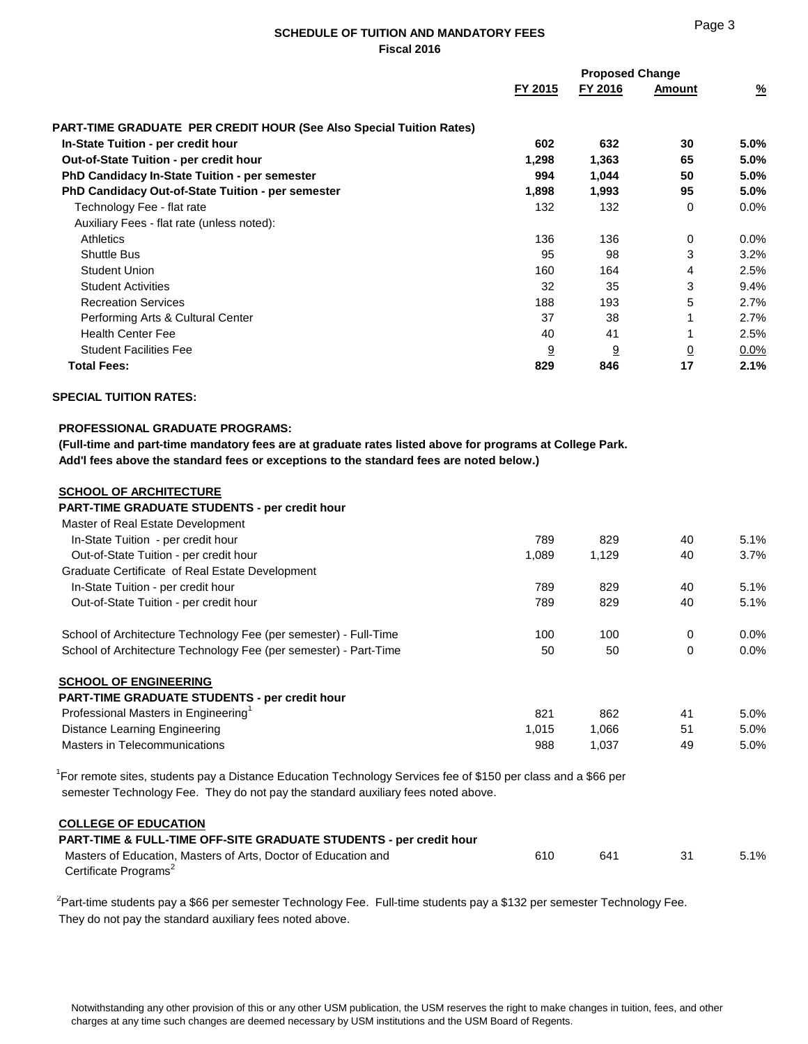|                                                                            | <b>Proposed Change</b> |         |                |               |
|----------------------------------------------------------------------------|------------------------|---------|----------------|---------------|
|                                                                            | FY 2015                | FY 2016 | Amount         | $\frac{9}{6}$ |
| <b>PART-TIME GRADUATE PER CREDIT HOUR (See Also Special Tuition Rates)</b> |                        |         |                |               |
| In-State Tuition - per credit hour                                         | 602                    | 632     | 30             | 5.0%          |
| <b>Out-of-State Tuition - per credit hour</b>                              | 1,298                  | 1,363   | 65             | 5.0%          |
| <b>PhD Candidacy In-State Tuition - per semester</b>                       | 994                    | 1,044   | 50             | 5.0%          |
| <b>PhD Candidacy Out-of-State Tuition - per semester</b>                   | 1,898                  | 1,993   | 95             | $5.0\%$       |
| Technology Fee - flat rate                                                 | 132                    | 132     | 0              | $0.0\%$       |
| Auxiliary Fees - flat rate (unless noted):                                 |                        |         |                |               |
| <b>Athletics</b>                                                           | 136                    | 136     | 0              | $0.0\%$       |
| <b>Shuttle Bus</b>                                                         | 95                     | 98      | 3              | 3.2%          |
| <b>Student Union</b>                                                       | 160                    | 164     | 4              | 2.5%          |
| <b>Student Activities</b>                                                  | 32                     | 35      | 3              | $9.4\%$       |
| <b>Recreation Services</b>                                                 | 188                    | 193     | 5              | 2.7%          |
| Performing Arts & Cultural Center                                          | 37                     | 38      | 1              | 2.7%          |
| <b>Health Center Fee</b>                                                   | 40                     | 41      |                | 2.5%          |
| <b>Student Facilities Fee</b>                                              | 9                      | 9       | $\overline{0}$ | $0.0\%$       |
| <b>Total Fees:</b>                                                         | 829                    | 846     | 17             | 2.1%          |

### **SPECIAL TUITION RATES:**

## **PROFESSIONAL GRADUATE PROGRAMS:**

 **(Full-time and part-time mandatory fees are at graduate rates listed above for programs at College Park. Add'l fees above the standard fees or exceptions to the standard fees are noted below.)**

#### **SCHOOL OF ARCHITECTURE PART-TIME GRADUATE STUDENTS - per credit hour**

| <b>PART-TIME GRADUATE STUDENTS - per credit hour</b>             |       |       |    |         |
|------------------------------------------------------------------|-------|-------|----|---------|
| Master of Real Estate Development                                |       |       |    |         |
| In-State Tuition - per credit hour                               | 789   | 829   | 40 | 5.1%    |
| Out-of-State Tuition - per credit hour                           | 1,089 | 1,129 | 40 | 3.7%    |
| Graduate Certificate of Real Estate Development                  |       |       |    |         |
| In-State Tuition - per credit hour                               | 789   | 829   | 40 | 5.1%    |
| Out-of-State Tuition - per credit hour                           | 789   | 829   | 40 | 5.1%    |
| School of Architecture Technology Fee (per semester) - Full-Time | 100   | 100   | 0  | $0.0\%$ |
| School of Architecture Technology Fee (per semester) - Part-Time | 50    | 50    | 0  | $0.0\%$ |
| <b>SCHOOL OF ENGINEERING</b>                                     |       |       |    |         |
| <b>PART-TIME GRADUATE STUDENTS - per credit hour</b>             |       |       |    |         |
| Professional Masters in Engineering <sup>1</sup>                 | 821   | 862   | 41 | $5.0\%$ |
| Distance Learning Engineering                                    | 1,015 | 1,066 | 51 | $5.0\%$ |
| Masters in Telecommunications                                    | 988   | 1,037 | 49 | $5.0\%$ |
|                                                                  |       |       |    |         |

<sup>1</sup>For remote sites, students pay a Distance Education Technology Services fee of \$150 per class and a \$66 per semester Technology Fee. They do not pay the standard auxiliary fees noted above.

### **COLLEGE OF EDUCATION**

| <b>PART-TIME &amp; FULL-TIME OFF-SITE GRADUATE STUDENTS - per credit hour</b> |     |     |         |
|-------------------------------------------------------------------------------|-----|-----|---------|
| Masters of Education. Masters of Arts. Doctor of Education and                | 610 | 641 | $5.1\%$ |
| Certificate Programs <sup>2</sup>                                             |     |     |         |

 $^{2}$ Part-time students pay a \$66 per semester Technology Fee. Full-time students pay a \$132 per semester Technology Fee. They do not pay the standard auxiliary fees noted above.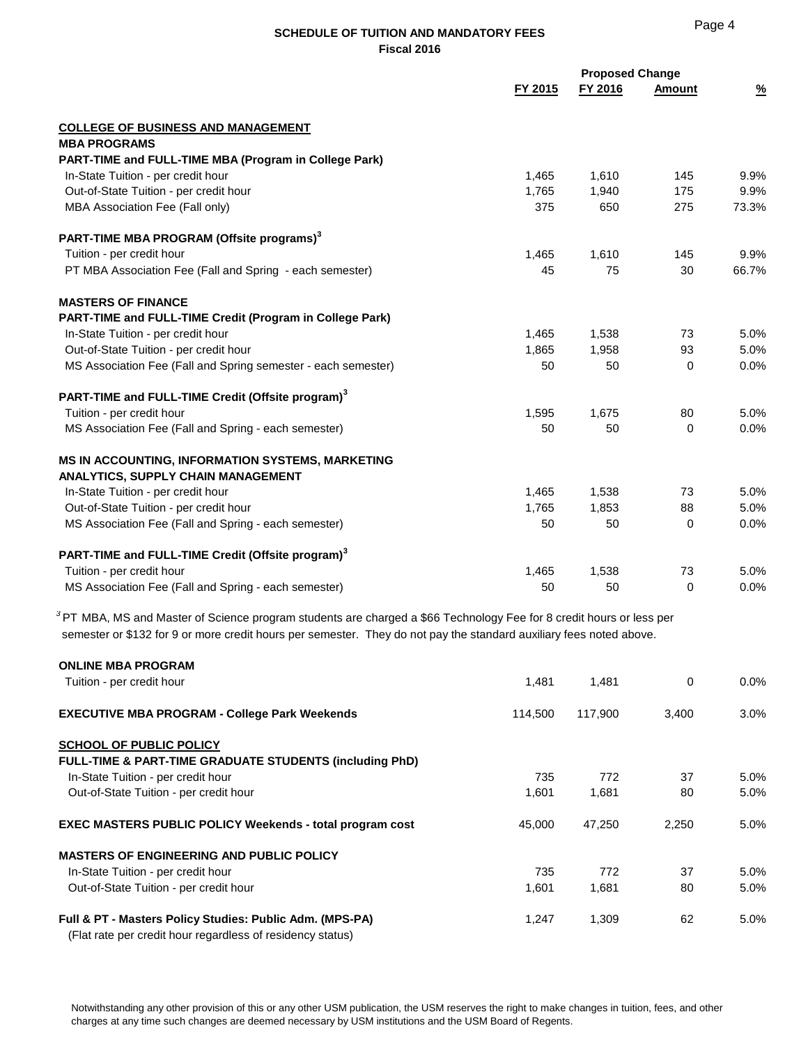|                                                                                                                                                                                                                                               | <b>Proposed Change</b><br>FY 2015<br>FY 2016 |         | <b>Amount</b> | $\frac{9}{6}$ |  |
|-----------------------------------------------------------------------------------------------------------------------------------------------------------------------------------------------------------------------------------------------|----------------------------------------------|---------|---------------|---------------|--|
| <b>COLLEGE OF BUSINESS AND MANAGEMENT</b>                                                                                                                                                                                                     |                                              |         |               |               |  |
| <b>MBA PROGRAMS</b>                                                                                                                                                                                                                           |                                              |         |               |               |  |
| PART-TIME and FULL-TIME MBA (Program in College Park)                                                                                                                                                                                         |                                              |         |               |               |  |
| In-State Tuition - per credit hour                                                                                                                                                                                                            | 1,465                                        | 1,610   | 145           | 9.9%          |  |
| Out-of-State Tuition - per credit hour                                                                                                                                                                                                        | 1,765                                        | 1,940   | 175           | 9.9%          |  |
| MBA Association Fee (Fall only)                                                                                                                                                                                                               | 375                                          | 650     | 275           | 73.3%         |  |
| PART-TIME MBA PROGRAM (Offsite programs) <sup>3</sup>                                                                                                                                                                                         |                                              |         |               |               |  |
| Tuition - per credit hour                                                                                                                                                                                                                     | 1,465                                        | 1,610   | 145           | 9.9%          |  |
| PT MBA Association Fee (Fall and Spring - each semester)                                                                                                                                                                                      | 45                                           | 75      | 30            | 66.7%         |  |
| <b>MASTERS OF FINANCE</b>                                                                                                                                                                                                                     |                                              |         |               |               |  |
| PART-TIME and FULL-TIME Credit (Program in College Park)                                                                                                                                                                                      |                                              |         |               |               |  |
| In-State Tuition - per credit hour                                                                                                                                                                                                            | 1,465                                        | 1,538   | 73            | 5.0%          |  |
| Out-of-State Tuition - per credit hour                                                                                                                                                                                                        | 1,865                                        | 1,958   | 93            | 5.0%          |  |
| MS Association Fee (Fall and Spring semester - each semester)                                                                                                                                                                                 | 50                                           | 50      | $\mathbf 0$   | 0.0%          |  |
| PART-TIME and FULL-TIME Credit (Offsite program) <sup>3</sup>                                                                                                                                                                                 |                                              |         |               |               |  |
| Tuition - per credit hour                                                                                                                                                                                                                     | 1,595                                        | 1,675   | 80            | 5.0%          |  |
| MS Association Fee (Fall and Spring - each semester)                                                                                                                                                                                          | 50                                           | 50      | 0             | $0.0\%$       |  |
| MS IN ACCOUNTING, INFORMATION SYSTEMS, MARKETING                                                                                                                                                                                              |                                              |         |               |               |  |
| ANALYTICS, SUPPLY CHAIN MANAGEMENT                                                                                                                                                                                                            |                                              |         |               |               |  |
| In-State Tuition - per credit hour                                                                                                                                                                                                            | 1,465                                        | 1,538   | 73            | 5.0%          |  |
| Out-of-State Tuition - per credit hour                                                                                                                                                                                                        | 1,765                                        | 1,853   | 88            | 5.0%          |  |
| MS Association Fee (Fall and Spring - each semester)                                                                                                                                                                                          | 50                                           | 50      | $\mathbf 0$   | 0.0%          |  |
| PART-TIME and FULL-TIME Credit (Offsite program) <sup>3</sup>                                                                                                                                                                                 |                                              |         |               |               |  |
| Tuition - per credit hour                                                                                                                                                                                                                     | 1,465                                        | 1,538   | 73            | 5.0%          |  |
| MS Association Fee (Fall and Spring - each semester)                                                                                                                                                                                          | 50                                           | 50      | 0             | 0.0%          |  |
| $3$ PT MBA, MS and Master of Science program students are charged a \$66 Technology Fee for 8 credit hours or less per<br>semester or \$132 for 9 or more credit hours per semester. They do not pay the standard auxiliary fees noted above. |                                              |         |               |               |  |
| <b>ONLINE MBA PROGRAM</b>                                                                                                                                                                                                                     |                                              |         |               |               |  |
| Tuition - per credit hour                                                                                                                                                                                                                     | 1,481                                        | 1,481   | $\mathbf 0$   | 0.0%          |  |
| <b>EXECUTIVE MBA PROGRAM - College Park Weekends</b>                                                                                                                                                                                          | 114.500                                      | 117.900 | 3.400         | 3.0%          |  |

| <b>SCHOOL OF PUBLIC POLICY</b>                                                                                         |        |        |       |         |
|------------------------------------------------------------------------------------------------------------------------|--------|--------|-------|---------|
| <b>FULL-TIME &amp; PART-TIME GRADUATE STUDENTS (including PhD)</b>                                                     |        |        |       |         |
| In-State Tuition - per credit hour                                                                                     | 735    | 772    | 37    | $5.0\%$ |
| Out-of-State Tuition - per credit hour                                                                                 | 1.601  | 1.681  | 80    | 5.0%    |
| <b>EXEC MASTERS PUBLIC POLICY Weekends - total program cost</b>                                                        | 45.000 | 47,250 | 2.250 | 5.0%    |
| <b>MASTERS OF ENGINEERING AND PUBLIC POLICY</b>                                                                        |        |        |       |         |
| In-State Tuition - per credit hour                                                                                     | 735    | 772    | 37    | $5.0\%$ |
| Out-of-State Tuition - per credit hour                                                                                 | 1.601  | 1,681  | 80    | 5.0%    |
| Full & PT - Masters Policy Studies: Public Adm. (MPS-PA)<br>(Flat rate per credit hour regardless of residency status) | 1.247  | 1.309  | 62    | $5.0\%$ |

Notwithstanding any other provision of this or any other USM publication, the USM reserves the right to make changes in tuition, fees, and other charges at any time such changes are deemed necessary by USM institutions and the USM Board of Regents.